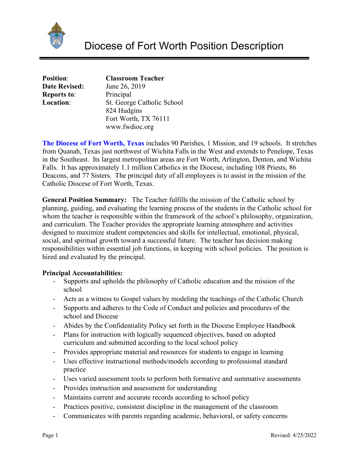

| <b>Position:</b>     | <b>Classroom Teacher</b>   |
|----------------------|----------------------------|
| <b>Date Revised:</b> | June 26, 2019              |
| <b>Reports to:</b>   | Principal                  |
| Location:            | St. George Catholic School |
|                      | 824 Hudgins                |
|                      | Fort Worth, TX 76111       |
|                      | www.fwdioc.org             |

**The Diocese of Fort Worth, Texas** includes 90 Parishes, 1 Mission, and 19 schools. It stretches from Quanah, Texas just northwest of Wichita Falls in the West and extends to Penelope, Texas in the Southeast. Its largest metropolitan areas are Fort Worth, Arlington, Denton, and Wichita Falls. It has approximately 1.1 million Catholics in the Diocese, including 108 Priests, 86 Deacons, and 77 Sisters. The principal duty of all employees is to assist in the mission of the Catholic Diocese of Fort Worth, Texas.

**General Position Summary:** The Teacher fulfills the mission of the Catholic school by planning, guiding, and evaluating the learning process of the students in the Catholic school for whom the teacher is responsible within the framework of the school's philosophy, organization, and curriculum. The Teacher provides the appropriate learning atmosphere and activities designed to maximize student competencies and skills for intellectual, emotional, physical, social, and spiritual growth toward a successful future. The teacher has decision making responsibilities within essential job functions, in keeping with school policies. The position is hired and evaluated by the principal.

# **Principal Accountabilities:**

- Supports and upholds the philosophy of Catholic education and the mission of the school
- Acts as a witness to Gospel values by modeling the teachings of the Catholic Church
- Supports and adheres to the Code of Conduct and policies and procedures of the school and Diocese
- Abides by the Confidentiality Policy set forth in the Diocese Employee Handbook
- Plans for instruction with logically sequenced objectives, based on adopted curriculum and submitted according to the local school policy
- Provides appropriate material and resources for students to engage in learning
- Uses effective instructional methods/models according to professional standard practice
- Uses varied assessment tools to perform both formative and summative assessments
- Provides instruction and assessment for understanding
- Maintains current and accurate records according to school policy
- Practices positive, consistent discipline in the management of the classroom
- Communicates with parents regarding academic, behavioral, or safety concerns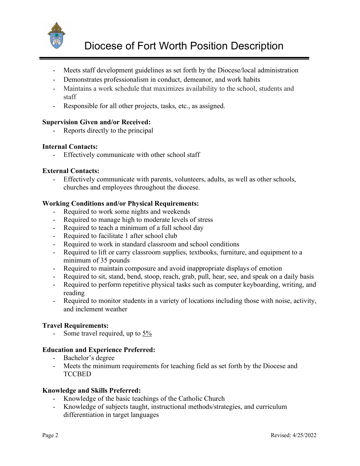

- Meets staff development guidelines as set forth by the Diocese/local administration
- Demonstrates professionalism in conduct, demeanor, and work habits
- Maintains a work schedule that maximizes availability to the school, students and staff
- Responsible for all other projects, tasks, etc., as assigned.

# **Supervision Given and/or Received:**

- Reports directly to the principal

# **Internal Contacts:**

Effectively communicate with other school staff

# **External Contacts:**

Effectively communicate with parents, volunteers, adults, as well as other schools, churches and employees throughout the diocese.

# **Working Conditions and/or Physical Requirements:**

- Required to work some nights and weekends
- Required to manage high to moderate levels of stress
- Required to teach a minimum of a full school day
- Required to facilitate 1 after school club
- Required to work in standard classroom and school conditions
- Required to lift or carry classroom supplies, textbooks, furniture, and equipment to a minimum of 35 pounds
- Required to maintain composure and avoid inappropriate displays of emotion
- Required to sit, stand, bend, stoop, reach, grab, pull, hear, see, and speak on a daily basis
- Required to perform repetitive physical tasks such as computer keyboarding, writing, and reading
- Required to monitor students in a variety of locations including those with noise, activity, and inclement weather

# **Travel Requirements:**

- Some travel required, up to 5%

# **Education and Experience Preferred:**

- Bachelor's degree
- Meets the minimum requirements for teaching field as set forth by the Diocese and **TCCBED**

# **Knowledge and Skills Preferred:**

- Knowledge of the basic teachings of the Catholic Church
- Knowledge of subjects taught, instructional methods/strategies, and curriculum differentiation in target languages